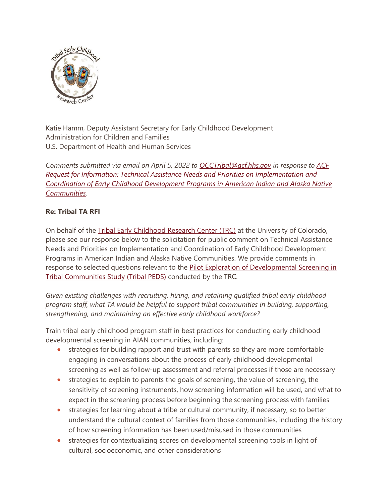

Katie Hamm, Deputy Assistant Secretary for Early Childhood Development Administration for Children and Families U.S. Department of Health and Human Services

*Comments submitted via email on April 5, 2022 to [OCCTribal@acf.hhs.gov](mailto:OCCTribal@acf.hhs.gov) in response to [ACF](https://www.govinfo.gov/content/pkg/FR-2022-03-22/pdf/2022-05962.pdf?fbclid=IwAR3JqyOhaJDHjzccKwiJKFnfp1gHGi681Th6w6yDxBhsd3V4pM43RHB91eE)  [Request for Information: Technical Assistance Needs and Priorities on Implementation and](https://www.govinfo.gov/content/pkg/FR-2022-03-22/pdf/2022-05962.pdf?fbclid=IwAR3JqyOhaJDHjzccKwiJKFnfp1gHGi681Th6w6yDxBhsd3V4pM43RHB91eE)  [Coordination of Early Childhood Development Programs in American Indian and Alaska Native](https://www.govinfo.gov/content/pkg/FR-2022-03-22/pdf/2022-05962.pdf?fbclid=IwAR3JqyOhaJDHjzccKwiJKFnfp1gHGi681Th6w6yDxBhsd3V4pM43RHB91eE)  [Communities.](https://www.govinfo.gov/content/pkg/FR-2022-03-22/pdf/2022-05962.pdf?fbclid=IwAR3JqyOhaJDHjzccKwiJKFnfp1gHGi681Th6w6yDxBhsd3V4pM43RHB91eE)*

## **Re: Tribal TA RFI**

On behalf of the [Tribal Early Childhood Research Center \(TRC\)](https://coloradosph.cuanschutz.edu/research-and-practice/centers-programs/caianh/projects/trc) at the University of Colorado, please see our response below to the solicitation for public comment on Technical Assistance Needs and Priorities on Implementation and Coordination of Early Childhood Development Programs in American Indian and Alaska Native Communities. We provide comments in response to selected questions relevant to the [Pilot Exploration of Developmental Screening in](https://coloradosph.cuanschutz.edu/docs/librariesprovider205/trc/2-trc-tribal-peds-final-report.pdf)  [Tribal Communities Study](https://coloradosph.cuanschutz.edu/docs/librariesprovider205/trc/2-trc-tribal-peds-final-report.pdf) (Tribal PEDS) conducted by the TRC.

*Given existing challenges with recruiting, hiring, and retaining qualified tribal early childhood program staff, what TA would be helpful to support tribal communities in building, supporting, strengthening, and maintaining an effective early childhood workforce?*

Train tribal early childhood program staff in best practices for conducting early childhood developmental screening in AIAN communities, including:

- strategies for building rapport and trust with parents so they are more comfortable engaging in conversations about the process of early childhood developmental screening as well as follow-up assessment and referral processes if those are necessary
- strategies to explain to parents the goals of screening, the value of screening, the sensitivity of screening instruments, how screening information will be used, and what to expect in the screening process before beginning the screening process with families
- strategies for learning about a tribe or cultural community, if necessary, so to better understand the cultural context of families from those communities, including the history of how screening information has been used/misused in those communities
- strategies for contextualizing scores on developmental screening tools in light of cultural, socioeconomic, and other considerations